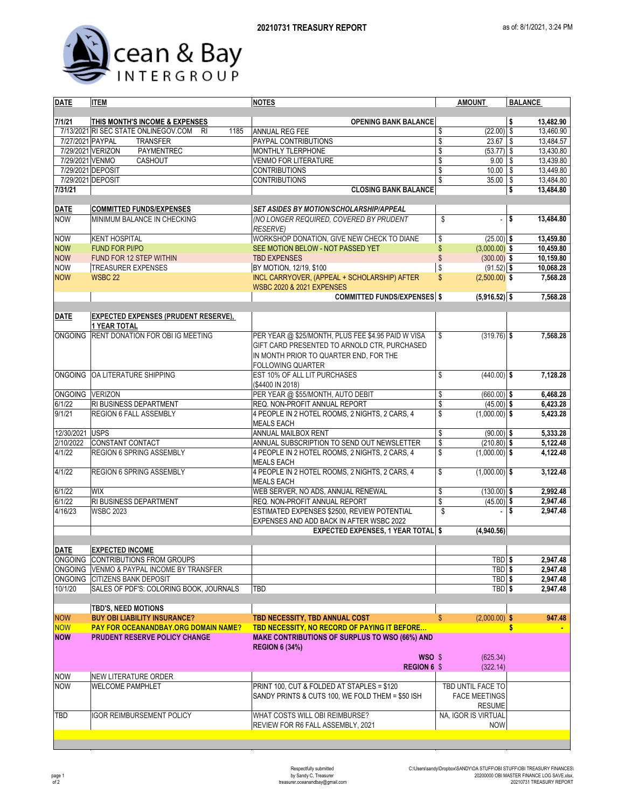

| <b>DATE</b>       | <b>ITEM</b>                                               | <b>NOTES</b>                                          | <b>AMOUNT</b>                           | <b>BALANCE</b>  |  |  |  |
|-------------------|-----------------------------------------------------------|-------------------------------------------------------|-----------------------------------------|-----------------|--|--|--|
|                   |                                                           |                                                       |                                         |                 |  |  |  |
| 7/1/21            | THIS MONTH'S INCOME & EXPENSES                            | <b>OPENING BANK BALANCE</b>                           |                                         | \$<br>13,482.90 |  |  |  |
|                   | 7/13/2021 RI SEC STATE ONLINEGOV.COM<br>1185<br><b>RI</b> | ANNUAL REG FEE                                        | $(22.00)$ \$<br>\$                      | 13.460.90       |  |  |  |
| 7/27/2021 PAYPAL  | <b>TRANSFER</b>                                           | PAYPAL CONTRIBUTIONS                                  | \$<br>$23.67$ \$                        | 13,484.57       |  |  |  |
| 7/29/2021 VERIZON | PAYMENTREC                                                | MONTHLY TLERPHONE                                     | \$<br>$(53.77)$ \$                      | 13,430.80       |  |  |  |
| 7/29/2021 VENMO   | CASHOUT                                                   | VENMO FOR LITERATURE                                  | \$<br>$9.00$ \ \$<br>$10.00$ \ \$       | 13,439.80       |  |  |  |
| 7/29/2021 DEPOSIT |                                                           | <b>CONTRIBUTIONS</b>                                  | \$                                      | 13,449.80       |  |  |  |
| 7/29/2021 DEPOSIT |                                                           | <b>CONTRIBUTIONS</b>                                  | \$<br>35.00                             | \$<br>13,484.80 |  |  |  |
| 7/31/21           |                                                           | <b>CLOSING BANK BALANCE</b>                           |                                         | \$<br>13,484.80 |  |  |  |
| <b>DATE</b>       | <b>COMMITTED FUNDS/EXPENSES</b>                           | <b>SET ASIDES BY MOTION/SCHOLARSHIP/APPEAL</b>        |                                         |                 |  |  |  |
| <b>NOW</b>        | MINIMUM BALANCE IN CHECKING                               | (NO LONGER REQUIRED, COVERED BY PRUDENT               | \$                                      | \$<br>13.484.80 |  |  |  |
|                   |                                                           | <b>RESERVE)</b>                                       |                                         |                 |  |  |  |
| <b>NOW</b>        | <b>KENT HOSPITAL</b>                                      | WORKSHOP DONATION, GIVE NEW CHECK TO DIANE            | \$<br>$(25.00)$ \$                      | 13,459.80       |  |  |  |
| <b>NOW</b>        | <b>FUND FOR PI/PO</b>                                     | SEE MOTION BELOW - NOT PASSED YET                     | \$<br>$(3,000.00)$ \$                   | 10,459.80       |  |  |  |
| <b>NOW</b>        | FUND FOR 12 STEP WITHIN                                   | <b>TBD EXPENSES</b>                                   | \$<br>$(300.00)$ \$                     | 10,159.80       |  |  |  |
| <b>NOW</b>        | <b>TREASURER EXPENSES</b>                                 | BY MOTION, 12/19, \$100                               | \$<br>$(91.52)$ \$                      | 10,068.28       |  |  |  |
| <b>NOW</b>        | <b>WSBC 22</b>                                            | INCL CARRYOVER, (APPEAL + SCHOLARSHIP) AFTER          | $\mathsf{\$}$<br>$(2,500.00)$ \$        | 7,568.28        |  |  |  |
|                   |                                                           | <b>WSBC 2020 &amp; 2021 EXPENSES</b>                  |                                         |                 |  |  |  |
|                   |                                                           | <b>COMMITTED FUNDS/EXPENSES \$</b>                    | $(5,916.52)$ \$                         | 7,568.28        |  |  |  |
|                   |                                                           |                                                       |                                         |                 |  |  |  |
| <b>DATE</b>       | <b>EXPECTED EXPENSES (PRUDENT RESERVE),</b>               |                                                       |                                         |                 |  |  |  |
|                   | <b>1 YEAR TOTAL</b>                                       |                                                       |                                         |                 |  |  |  |
| ONGOING           | RENT DONATION FOR OBI IG MEETING                          | PER YEAR @ \$25/MONTH, PLUS FEE \$4.95 PAID W VISA    | \$<br>$(319.76)$ \$                     | 7,568.28        |  |  |  |
|                   |                                                           | GIFT CARD PRESENTED TO ARNOLD CTR, PURCHASED          |                                         |                 |  |  |  |
|                   |                                                           | IN MONTH PRIOR TO QUARTER END, FOR THE                |                                         |                 |  |  |  |
|                   |                                                           | <b>FOLLOWING QUARTER</b>                              |                                         |                 |  |  |  |
| <b>ONGOING</b>    | OA LITERATURE SHIPPING                                    | EST 10% OF ALL LIT PURCHASES                          | $(440.00)$ \$<br>\$                     | 7,128.28        |  |  |  |
|                   |                                                           | (\$4400 IN 2018)                                      |                                         |                 |  |  |  |
| ONGOING VERIZON   |                                                           | PER YEAR @ \$55/MONTH, AUTO DEBIT                     | \$<br>$(660.00)$ \$                     | 6,468.28        |  |  |  |
| 6/1/22            | RI BUSINESS DEPARTMENT                                    | REQ. NON-PROFIT ANNUAL REPORT                         | $\sqrt[6]{\frac{1}{2}}$<br>$(45.00)$ \$ | 6,423.28        |  |  |  |
| 9/1/21            | <b>REGION 6 FALL ASSEMBLY</b>                             | 4 PEOPLE IN 2 HOTEL ROOMS, 2 NIGHTS, 2 CARS, 4        | \$<br>$(1,000.00)$ \$                   | 5,423.28        |  |  |  |
|                   |                                                           | MEALS EACH                                            |                                         |                 |  |  |  |
| 12/30/2021        | <b>USPS</b>                                               | ANNUAL MAILBOX RENT                                   | \$<br>$(90.00)$ \$                      | 5,333.28        |  |  |  |
| 2/10/2022         | CONSTANT CONTACT                                          | ANNUAL SUBSCRIPTION TO SEND OUT NEWSLETTER            | \$<br>$(210.80)$ \$                     | 5,122.48        |  |  |  |
| 4/1/22            | REGION 6 SPRING ASSEMBLY                                  | 4 PEOPLE IN 2 HOTEL ROOMS, 2 NIGHTS, 2 CARS, 4        | \$<br>$(1,000.00)$ \$                   | 4,122.48        |  |  |  |
|                   |                                                           | <b>MEALS EACH</b>                                     |                                         |                 |  |  |  |
| 4/1/22            | <b>REGION 6 SPRING ASSEMBLY</b>                           | 4 PEOPLE IN 2 HOTEL ROOMS, 2 NIGHTS, 2 CARS, 4        | \$<br>$(1,000.00)$ \$                   | 3,122.48        |  |  |  |
|                   |                                                           | <b>MEALS EACH</b>                                     |                                         |                 |  |  |  |
| 6/1/22            | <b>WIX</b>                                                | WEB SERVER, NO ADS, ANNUAL RENEWAL                    | \$<br>$(130.00)$ \$                     | 2,992.48        |  |  |  |
| 6/1/22            | RI BUSINESS DEPARTMENT                                    | REQ. NON-PROFIT ANNUAL REPORT                         | \$<br>$(45.00)$ \$                      | 2,947.48        |  |  |  |
| 4/16/23           | <b>WSBC 2023</b>                                          | ESTIMATED EXPENSES \$2500, REVIEW POTENTIAL           | \$<br>$\overline{\phantom{a}}$          | 1\$<br>2,947.48 |  |  |  |
|                   |                                                           | EXPENSES AND ADD BACK IN AFTER WSBC 2022              |                                         |                 |  |  |  |
|                   |                                                           | <b>EXPECTED EXPENSES, 1 YEAR TOTAL \$</b>             | (4,940.56)                              |                 |  |  |  |
| <b>DATE</b>       | <b>EXPECTED INCOME</b>                                    |                                                       |                                         |                 |  |  |  |
|                   | ONGOING CONTRIBUTIONS FROM GROUPS                         |                                                       | TBD \$                                  | 2,947.48        |  |  |  |
|                   | ONGOING VENMO & PAYPAL INCOME BY TRANSFER                 |                                                       | TBD <sub>\$</sub>                       | 2,947.48        |  |  |  |
|                   | ONGOING CITIZENS BANK DEPOSIT                             |                                                       | TBD \$                                  | 2,947.48        |  |  |  |
| 10/1/20           | SALES OF PDF'S: COLORING BOOK, JOURNALS                   | TBD                                                   | TBD \$                                  | 2,947.48        |  |  |  |
|                   |                                                           |                                                       |                                         |                 |  |  |  |
|                   | <b>TBD'S, NEED MOTIONS</b>                                |                                                       |                                         |                 |  |  |  |
| <b>NOW</b>        | <b>BUY OBI LIABILITY INSURANCE?</b>                       | TBD NECESSITY, TBD ANNUAL COST                        | $(2,000.00)$ \$<br>$\mathbb{S}$         | 947.48          |  |  |  |
| <b>NOW</b>        | <b>PAY FOR OCEANANDBAY.ORG DOMAIN NAME?</b>               | <b>TBD NECESSITY, NO RECORD OF PAYING IT BEFORE</b>   |                                         | \$              |  |  |  |
| <b>NOW</b>        | <b>PRUDENT RESERVE POLICY CHANGE</b>                      | <b>MAKE CONTRIBUTIONS OF SURPLUS TO WSO (66%) AND</b> |                                         |                 |  |  |  |
|                   |                                                           | <b>REGION 6 (34%)</b>                                 |                                         |                 |  |  |  |
|                   |                                                           | $WSO$ \$                                              | (625.34)                                |                 |  |  |  |
|                   |                                                           | <b>REGION 6 \$</b>                                    | (322.14)                                |                 |  |  |  |
| <b>NOW</b>        | NEW LITERATURE ORDER                                      |                                                       |                                         |                 |  |  |  |
| <b>NOW</b>        | <b>WELCOME PAMPHLET</b>                                   | PRINT 100, CUT & FOLDED AT STAPLES = \$120            | TBD UNTIL FACE TO                       |                 |  |  |  |
|                   |                                                           | SANDY PRINTS & CUTS 100, WE FOLD THEM = \$50 ISH      | <b>FACE MEETINGS</b>                    |                 |  |  |  |
|                   |                                                           |                                                       | <b>RESUME</b>                           |                 |  |  |  |
| TBD               | IGOR REIMBURSEMENT POLICY                                 | WHAT COSTS WILL OBI REIMBURSE?                        | NA, IGOR IS VIRTUAL                     |                 |  |  |  |
|                   |                                                           | REVIEW FOR R6 FALL ASSEMBLY, 2021                     | <b>NOW</b>                              |                 |  |  |  |
|                   |                                                           |                                                       |                                         |                 |  |  |  |
|                   |                                                           |                                                       |                                         |                 |  |  |  |